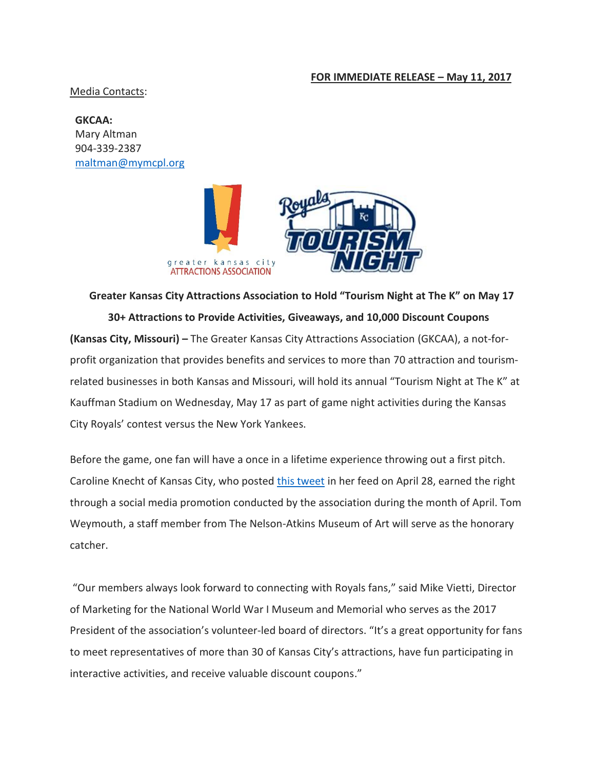## **FOR IMMEDIATE RELEASE – May 11, 2017**

Media Contacts:

**GKCAA:**  Mary Altman 904-339-2387 [maltman@mymcpl.org](mailto:maltman@mymcpl.org)



**Greater Kansas City Attractions Association to Hold "Tourism Night at The K" on May 17 30+ Attractions to Provide Activities, Giveaways, and 10,000 Discount Coupons (Kansas City, Missouri) –** The Greater Kansas City Attractions Association (GKCAA), a not-forprofit organization that provides benefits and services to more than 70 attraction and tourismrelated businesses in both Kansas and Missouri, will hold its annual "Tourism Night at The K" at Kauffman Stadium on Wednesday, May 17 as part of game night activities during the Kansas City Royals' contest versus the New York Yankees.

Before the game, one fan will have a once in a lifetime experience throwing out a first pitch. Caroline Knecht of Kansas City, who posted [this tweet](https://twitter.com/o_line/status/857973270867587073) in her feed on April 28, earned the right through a social media promotion conducted by the association during the month of April. Tom Weymouth, a staff member from The Nelson-Atkins Museum of Art will serve as the honorary catcher.

"Our members always look forward to connecting with Royals fans," said Mike Vietti, Director of Marketing for the National World War I Museum and Memorial who serves as the 2017 President of the association's volunteer-led board of directors. "It's a great opportunity for fans to meet representatives of more than 30 of Kansas City's attractions, have fun participating in interactive activities, and receive valuable discount coupons."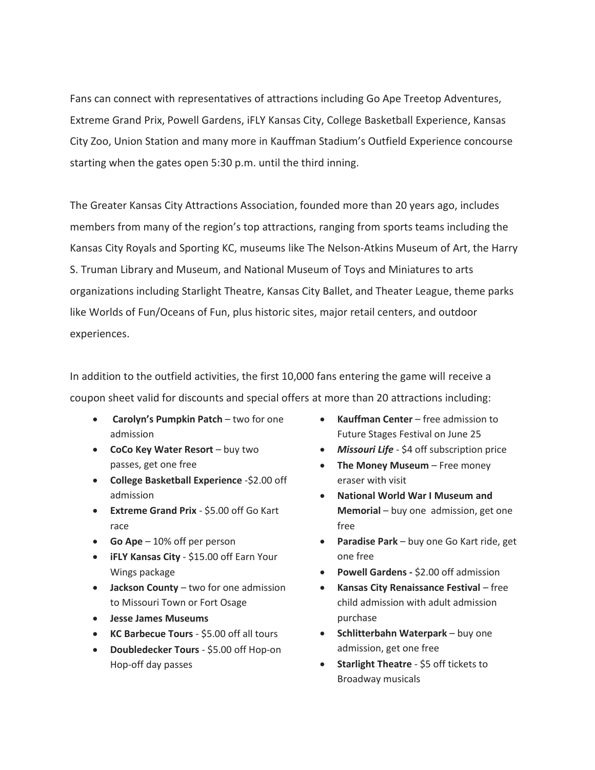Fans can connect with representatives of attractions including Go Ape Treetop Adventures, Extreme Grand Prix, Powell Gardens, iFLY Kansas City, College Basketball Experience, Kansas City Zoo, Union Station and many more in Kauffman Stadium's Outfield Experience concourse starting when the gates open 5:30 p.m. until the third inning.

The Greater Kansas City Attractions Association, founded more than 20 years ago, includes members from many of the region's top attractions, ranging from sports teams including the Kansas City Royals and Sporting KC, museums like The Nelson-Atkins Museum of Art, the Harry S. Truman Library and Museum, and National Museum of Toys and Miniatures to arts organizations including Starlight Theatre, Kansas City Ballet, and Theater League, theme parks like Worlds of Fun/Oceans of Fun, plus historic sites, major retail centers, and outdoor experiences.

In addition to the outfield activities, the first 10,000 fans entering the game will receive a coupon sheet valid for discounts and special offers at more than 20 attractions including:

- **Carolyn's Pumpkin Patch** two for one admission
- **CoCo Key Water Resort** buy two passes, get one free
- **College Basketball Experience** -\$2.00 off admission
- **Extreme Grand Prix** \$5.00 off Go Kart race
- **Go Ape** 10% off per person
- **iFLY Kansas City** \$15.00 off Earn Your Wings package
- **Jackson County** two for one admission to Missouri Town or Fort Osage
- **Jesse James Museums**
- **KC Barbecue Tours** \$5.00 off all tours
- **Doubledecker Tours** \$5.00 off Hop-on Hop-off day passes
- **Kauffman Center** free admission to Future Stages Festival on June 25
- *Missouri Life* \$4 off subscription price
- **The Money Museum** Free money eraser with visit
- **National World War I Museum and Memorial** – buy one admission, get one free
- **Paradise Park** buy one Go Kart ride, get one free
- **Powell Gardens -** \$2.00 off admission
- **Kansas City Renaissance Festival** free child admission with adult admission purchase
- **Schlitterbahn Waterpark** buy one admission, get one free
- **Starlight Theatre** \$5 off tickets to Broadway musicals